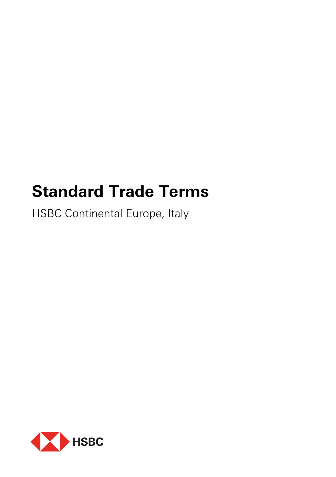# **Standard Trade Terms**

HSBC Continental Europe, Italy

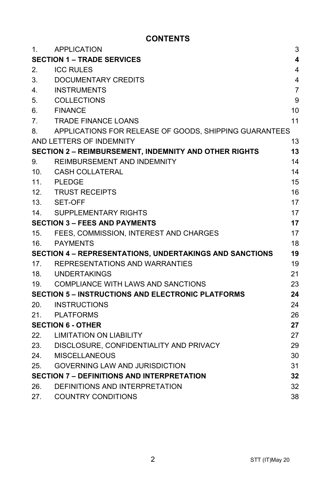# **CONTENTS**

| 1.              | <b>APPLICATION</b>                                           | 3                       |
|-----------------|--------------------------------------------------------------|-------------------------|
|                 | <b>SECTION 1 - TRADE SERVICES</b>                            | $\overline{\mathbf{4}}$ |
| 2.              | <b>ICC RULES</b>                                             | 4                       |
| 3.              | DOCUMENTARY CREDITS                                          | 4                       |
| 4.              | <b>INSTRUMENTS</b>                                           | $\overline{7}$          |
| 5.              | <b>COLLECTIONS</b>                                           | 9                       |
| 6.              | <b>FINANCE</b>                                               | 10                      |
| 7.              | <b>TRADE FINANCE LOANS</b>                                   | 11                      |
| 8.              | APPLICATIONS FOR RELEASE OF GOODS, SHIPPING GUARANTEES       |                         |
|                 | AND LETTERS OF INDEMNITY                                     | 13                      |
|                 | <b>SECTION 2 - REIMBURSEMENT, INDEMNITY AND OTHER RIGHTS</b> | 13                      |
| 9.              | REIMBURSEMENT AND INDEMNITY                                  | 14                      |
| 10 <sub>1</sub> | <b>CASH COLLATERAL</b>                                       | 14                      |
| 11.             | <b>PLEDGE</b>                                                | 15                      |
| 12.             | <b>TRUST RECEIPTS</b>                                        | 16                      |
| 13.             | SET-OFF                                                      | 17                      |
| 14.             | SUPPLEMENTARY RIGHTS                                         | 17                      |
|                 | <b>SECTION 3 - FEES AND PAYMENTS</b>                         | 17                      |
| 15.             | FEES, COMMISSION, INTEREST AND CHARGES                       | 17                      |
| 16.             | PAYMENTS                                                     | 18                      |
|                 | SECTION 4 - REPRESENTATIONS, UNDERTAKINGS AND SANCTIONS      | 19                      |
|                 | 17. REPRESENTATIONS AND WARRANTIES                           | 19                      |
|                 | 18. UNDERTAKINGS                                             | 21                      |
| 19.             | COMPLIANCE WITH LAWS AND SANCTIONS                           | 23                      |
|                 | <b>SECTION 5 - INSTRUCTIONS AND ELECTRONIC PLATFORMS</b>     | 24                      |
| 20.             | INSTRUCTIONS                                                 | 24                      |
| 21.             | PLATFORMS                                                    | 26                      |
|                 | <b>SECTION 6 - OTHER</b>                                     | 27                      |
| 22.             | <b>LIMITATION ON LIABILITY</b>                               | 27                      |
| 23.             | DISCLOSURE, CONFIDENTIALITY AND PRIVACY                      | 29                      |
| 24.             | <b>MISCELLANEOUS</b>                                         | 30                      |
| 25.             | <b>GOVERNING LAW AND JURISDICTION</b>                        | 31                      |
|                 | <b>SECTION 7 - DEFINITIONS AND INTERPRETATION</b>            | 32                      |
| 26.             | DEFINITIONS AND INTERPRETATION                               | 32                      |
| 27.             | <b>COUNTRY CONDITIONS</b>                                    | 38                      |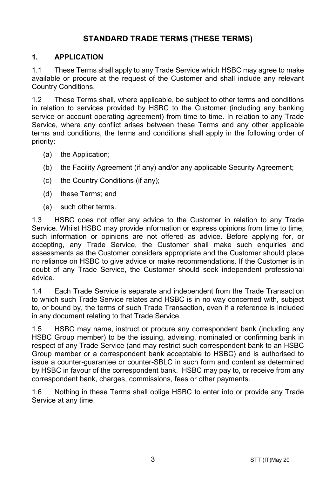# **STANDARD TRADE TERMS (THESE TERMS)**

## **1. APPLICATION**

1.1 These Terms shall apply to any Trade Service which HSBC may agree to make available or procure at the request of the Customer and shall include any relevant Country Conditions.

1.2 These Terms shall, where applicable, be subject to other terms and conditions in relation to services provided by HSBC to the Customer (including any banking service or account operating agreement) from time to time. In relation to any Trade Service, where any conflict arises between these Terms and any other applicable terms and conditions, the terms and conditions shall apply in the following order of priority:

- (a) the Application;
- (b) the Facility Agreement (if any) and/or any applicable Security Agreement;
- (c) the Country Conditions (if any);
- (d) these Terms; and
- (e) such other terms.

1.3 HSBC does not offer any advice to the Customer in relation to any Trade Service. Whilst HSBC may provide information or express opinions from time to time, such information or opinions are not offered as advice. Before applying for, or accepting, any Trade Service, the Customer shall make such enquiries and assessments as the Customer considers appropriate and the Customer should place no reliance on HSBC to give advice or make recommendations. If the Customer is in doubt of any Trade Service, the Customer should seek independent professional advice.

1.4 Each Trade Service is separate and independent from the Trade Transaction to which such Trade Service relates and HSBC is in no way concerned with, subject to, or bound by, the terms of such Trade Transaction, even if a reference is included in any document relating to that Trade Service.

1.5 HSBC may name, instruct or procure any correspondent bank (including any HSBC Group member) to be the issuing, advising, nominated or confirming bank in respect of any Trade Service (and may restrict such correspondent bank to an HSBC Group member or a correspondent bank acceptable to HSBC) and is authorised to issue a counter-guarantee or counter-SBLC in such form and content as determined by HSBC in favour of the correspondent bank. HSBC may pay to, or receive from any correspondent bank, charges, commissions, fees or other payments.

1.6 Nothing in these Terms shall oblige HSBC to enter into or provide any Trade Service at any time.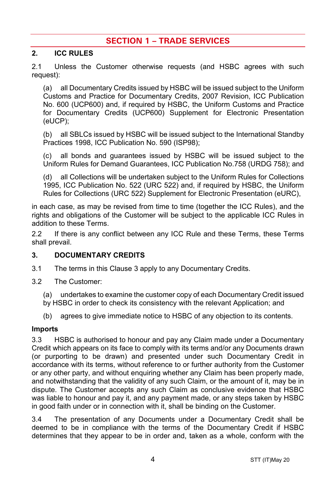# **SECTION 1 – TRADE SERVICES**

## **2. ICC RULES**

2.1 Unless the Customer otherwise requests (and HSBC agrees with such request):

(a) all Documentary Credits issued by HSBC will be issued subject to the Uniform Customs and Practice for Documentary Credits, 2007 Revision, ICC Publication No. 600 (UCP600) and, if required by HSBC, the Uniform Customs and Practice for Documentary Credits (UCP600) Supplement for Electronic Presentation (eUCP);

(b) all SBLCs issued by HSBC will be issued subject to the International Standby Practices 1998, ICC Publication No. 590 (ISP98);

(c) all bonds and guarantees issued by HSBC will be issued subject to the Uniform Rules for Demand Guarantees, ICC Publication No.758 (URDG 758); and

(d) all Collections will be undertaken subject to the Uniform Rules for Collections 1995, ICC Publication No. 522 (URC 522) and, if required by HSBC, the Uniform Rules for Collections (URC 522) Supplement for Electronic Presentation (eURC),

in each case, as may be revised from time to time (together the ICC Rules), and the rights and obligations of the Customer will be subject to the applicable ICC Rules in addition to these Terms.

2.2 If there is any conflict between any ICC Rule and these Terms, these Terms shall prevail.

#### **3. DOCUMENTARY CREDITS**

- 3.1 The terms in this Clause 3 apply to any Documentary Credits.
- 3.2 The Customer:

(a) undertakes to examine the customer copy of each Documentary Credit issued by HSBC in order to check its consistency with the relevant Application; and

(b) agrees to give immediate notice to HSBC of any objection to its contents.

#### **Imports**

3.3 HSBC is authorised to honour and pay any Claim made under a Documentary Credit which appears on its face to comply with its terms and/or any Documents drawn (or purporting to be drawn) and presented under such Documentary Credit in accordance with its terms, without reference to or further authority from the Customer or any other party, and without enquiring whether any Claim has been properly made, and notwithstanding that the validity of any such Claim, or the amount of it, may be in dispute. The Customer accepts any such Claim as conclusive evidence that HSBC was liable to honour and pay it, and any payment made, or any steps taken by HSBC in good faith under or in connection with it, shall be binding on the Customer.

3.4 The presentation of any Documents under a Documentary Credit shall be deemed to be in compliance with the terms of the Documentary Credit if HSBC determines that they appear to be in order and, taken as a whole, conform with the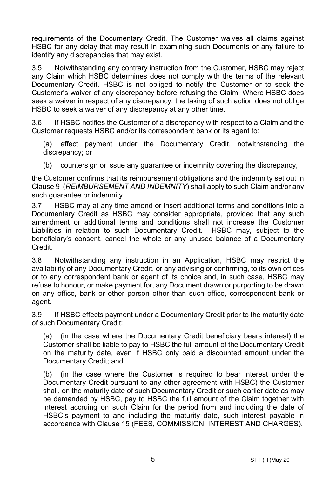requirements of the Documentary Credit. The Customer waives all claims against HSBC for any delay that may result in examining such Documents or any failure to identify any discrepancies that may exist.

3.5 Notwithstanding any contrary instruction from the Customer, HSBC may reject any Claim which HSBC determines does not comply with the terms of the relevant Documentary Credit. HSBC is not obliged to notify the Customer or to seek the Customer's waiver of any discrepancy before refusing the Claim. Where HSBC does seek a waiver in respect of any discrepancy, the taking of such action does not oblige HSBC to seek a waiver of any discrepancy at any other time.

3.6 If HSBC notifies the Customer of a discrepancy with respect to a Claim and the Customer requests HSBC and/or its correspondent bank or its agent to:

(a) effect payment under the Documentary Credit, notwithstanding the discrepancy; or

(b) countersign or issue any quarantee or indemnity covering the discrepancy,

the Customer confirms that its reimbursement obligations and the indemnity set out in Clause 9 (*REIMBURSEMENT AND INDEMNITY*) shall apply to such Claim and/or any such guarantee or indemnity.

3.7 HSBC may at any time amend or insert additional terms and conditions into a Documentary Credit as HSBC may consider appropriate, provided that any such amendment or additional terms and conditions shall not increase the Customer Liabilities in relation to such Documentary Credit. HSBC may, subject to the beneficiary's consent, cancel the whole or any unused balance of a Documentary Credit.

3.8 Notwithstanding any instruction in an Application, HSBC may restrict the availability of any Documentary Credit, or any advising or confirming, to its own offices or to any correspondent bank or agent of its choice and, in such case, HSBC may refuse to honour, or make payment for, any Document drawn or purporting to be drawn on any office, bank or other person other than such office, correspondent bank or agent.

3.9 If HSBC effects payment under a Documentary Credit prior to the maturity date of such Documentary Credit:

(a) (in the case where the Documentary Credit beneficiary bears interest) the Customer shall be liable to pay to HSBC the full amount of the Documentary Credit on the maturity date, even if HSBC only paid a discounted amount under the Documentary Credit; and

(b) (in the case where the Customer is required to bear interest under the Documentary Credit pursuant to any other agreement with HSBC) the Customer shall, on the maturity date of such Documentary Credit or such earlier date as may be demanded by HSBC, pay to HSBC the full amount of the Claim together with interest accruing on such Claim for the period from and including the date of HSBC's payment to and including the maturity date, such interest payable in accordance with Clause 15 (FEES, COMMISSION, INTEREST AND CHARGES).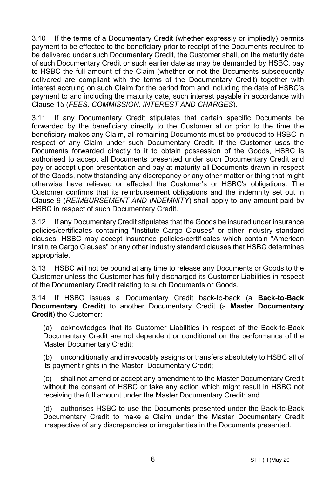3.10 If the terms of a Documentary Credit (whether expressly or impliedly) permits payment to be effected to the beneficiary prior to receipt of the Documents required to be delivered under such Documentary Credit, the Customer shall, on the maturity date of such Documentary Credit or such earlier date as may be demanded by HSBC, pay to HSBC the full amount of the Claim (whether or not the Documents subsequently delivered are compliant with the terms of the Documentary Credit) together with interest accruing on such Claim for the period from and including the date of HSBC's payment to and including the maturity date, such interest payable in accordance with Clause 15 (*FEES, COMMISSION, INTEREST AND CHARGES*).

3.11 If any Documentary Credit stipulates that certain specific Documents be forwarded by the beneficiary directly to the Customer at or prior to the time the beneficiary makes any Claim, all remaining Documents must be produced to HSBC in respect of any Claim under such Documentary Credit. If the Customer uses the Documents forwarded directly to it to obtain possession of the Goods, HSBC is authorised to accept all Documents presented under such Documentary Credit and pay or accept upon presentation and pay at maturity all Documents drawn in respect of the Goods, notwithstanding any discrepancy or any other matter or thing that might otherwise have relieved or affected the Customer's or HSBC's obligations. The Customer confirms that its reimbursement obligations and the indemnity set out in Clause 9 (*REIMBURSEMENT AND INDEMNITY*) shall apply to any amount paid by HSBC in respect of such Documentary Credit.

3.12 If any Documentary Credit stipulates that the Goods be insured under insurance policies/certificates containing "Institute Cargo Clauses" or other industry standard clauses, HSBC may accept insurance policies/certificates which contain "American Institute Cargo Clauses" or any other industry standard clauses that HSBC determines appropriate.

3.13 HSBC will not be bound at any time to release any Documents or Goods to the Customer unless the Customer has fully discharged its Customer Liabilities in respect of the Documentary Credit relating to such Documents or Goods.

3.14 If HSBC issues a Documentary Credit back-to-back (a **Back-to-Back Documentary Credit**) to another Documentary Credit (a **Master Documentary Credit**) the Customer:

(a) acknowledges that its Customer Liabilities in respect of the Back-to-Back Documentary Credit are not dependent or conditional on the performance of the Master Documentary Credit;

(b) unconditionally and irrevocably assigns or transfers absolutely to HSBC all of its payment rights in the Master Documentary Credit;

(c) shall not amend or accept any amendment to the Master Documentary Credit without the consent of HSBC or take any action which might result in HSBC not receiving the full amount under the Master Documentary Credit; and

(d) authorises HSBC to use the Documents presented under the Back-to-Back Documentary Credit to make a Claim under the Master Documentary Credit irrespective of any discrepancies or irregularities in the Documents presented.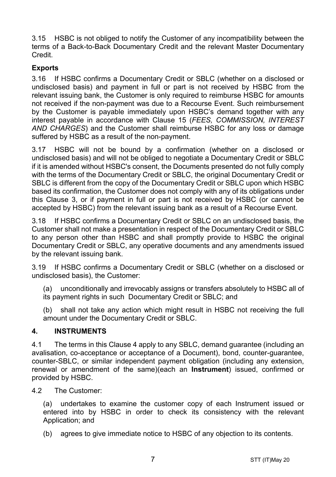3.15 HSBC is not obliged to notify the Customer of any incompatibility between the terms of a Back-to-Back Documentary Credit and the relevant Master Documentary Credit.

## **Exports**

3.16 If HSBC confirms a Documentary Credit or SBLC (whether on a disclosed or undisclosed basis) and payment in full or part is not received by HSBC from the relevant issuing bank, the Customer is only required to reimburse HSBC for amounts not received if the non-payment was due to a Recourse Event. Such reimbursement by the Customer is payable immediately upon HSBC's demand together with any interest payable in accordance with Clause 15 (*FEES, COMMISSION, INTEREST AND CHARGES*) and the Customer shall reimburse HSBC for any loss or damage suffered by HSBC as a result of the non-payment.

3.17 HSBC will not be bound by a confirmation (whether on a disclosed or undisclosed basis) and will not be obliged to negotiate a Documentary Credit or SBLC if it is amended without HSBC's consent, the Documents presented do not fully comply with the terms of the Documentary Credit or SBLC, the original Documentary Credit or SBLC is different from the copy of the Documentary Credit or SBLC upon which HSBC based its confirmation, the Customer does not comply with any of its obligations under this Clause 3, or if payment in full or part is not received by HSBC (or cannot be accepted by HSBC) from the relevant issuing bank as a result of a Recourse Event.

3.18 If HSBC confirms a Documentary Credit or SBLC on an undisclosed basis, the Customer shall not make a presentation in respect of the Documentary Credit or SBLC to any person other than HSBC and shall promptly provide to HSBC the original Documentary Credit or SBLC, any operative documents and any amendments issued by the relevant issuing bank.

3.19 If HSBC confirms a Documentary Credit or SBLC (whether on a disclosed or undisclosed basis), the Customer:

(a) unconditionally and irrevocably assigns or transfers absolutely to HSBC all of its payment rights in such Documentary Credit or SBLC; and

(b) shall not take any action which might result in HSBC not receiving the full amount under the Documentary Credit or SBLC.

## **4. INSTRUMENTS**

4.1 The terms in this Clause 4 apply to any SBLC, demand guarantee (including an avalisation, co-acceptance or acceptance of a Document), bond, counter-guarantee, counter-SBLC, or similar independent payment obligation (including any extension, renewal or amendment of the same)(each an **Instrument**) issued, confirmed or provided by HSBC.

4.2 The Customer:

(a) undertakes to examine the customer copy of each Instrument issued or entered into by HSBC in order to check its consistency with the relevant Application; and

(b) agrees to give immediate notice to HSBC of any objection to its contents.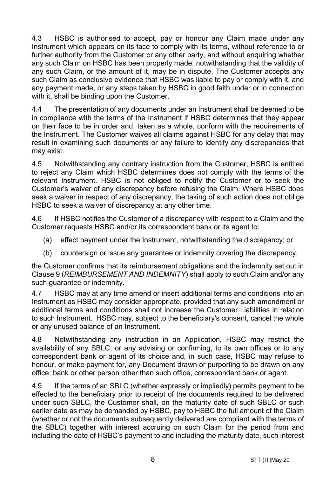4.3 HSBC is authorised to accept, pay or honour any Claim made under any Instrument which appears on its face to comply with its terms, without reference to or further authority from the Customer or any other party, and without enquiring whether any such Claim on HSBC has been properly made, notwithstanding that the validity of any such Claim, or the amount of it, may be in dispute. The Customer accepts any such Claim as conclusive evidence that HSBC was liable to pay or comply with it, and any payment made, or any steps taken by HSBC in good faith under or in connection with it, shall be binding upon the Customer.

4.4 The presentation of any documents under an Instrument shall be deemed to be in compliance with the terms of the Instrument if HSBC determines that they appear on their face to be in order and, taken as a whole, conform with the requirements of the Instrument. The Customer waives all claims against HSBC for any delay that may result in examining such documents or any failure to identify any discrepancies that may exist.

4.5 Notwithstanding any contrary instruction from the Customer, HSBC is entitled to reject any Claim which HSBC determines does not comply with the terms of the relevant Instrument. HSBC is not obliged to notify the Customer or to seek the Customer's waiver of any discrepancy before refusing the Claim. Where HSBC does seek a waiver in respect of any discrepancy, the taking of such action does not oblige HSBC to seek a waiver of discrepancy at any other time.

4.6 If HSBC notifies the Customer of a discrepancy with respect to a Claim and the Customer requests HSBC and/or its correspondent bank or its agent to:

- (a) effect payment under the Instrument, notwithstanding the discrepancy; or
- (b) countersign or issue any guarantee or indemnity covering the discrepancy,

the Customer confirms that its reimbursement obligations and the indemnity set out in Clause 9 (*REIMBURSEMENT AND INDEMNITY*) shall apply to such Claim and/or any such quarantee or indemnity.

4.7 HSBC may at any time amend or insert additional terms and conditions into an Instrument as HSBC may consider appropriate, provided that any such amendment or additional terms and conditions shall not increase the Customer Liabilities in relation to such Instrument. HSBC may, subject to the beneficiary's consent, cancel the whole or any unused balance of an Instrument.

4.8 Notwithstanding any instruction in an Application, HSBC may restrict the availability of any SBLC, or any advising or confirming, to its own offices or to any correspondent bank or agent of its choice and, in such case, HSBC may refuse to honour, or make payment for, any Document drawn or purporting to be drawn on any office, bank or other person other than such office, correspondent bank or agent.

4.9 If the terms of an SBLC (whether expressly or impliedly) permits payment to be effected to the beneficiary prior to receipt of the documents required to be delivered under such SBLC, the Customer shall, on the maturity date of such SBLC or such earlier date as may be demanded by HSBC, pay to HSBC the full amount of the Claim (whether or not the documents subsequently delivered are compliant with the terms of the SBLC) together with interest accruing on such Claim for the period from and including the date of HSBC's payment to and including the maturity date, such interest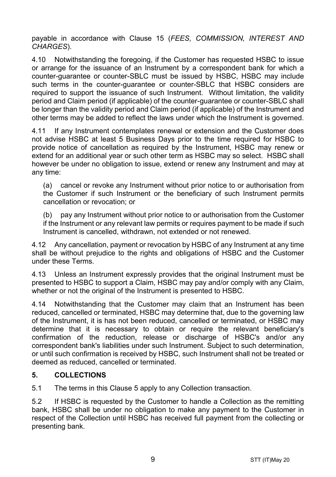payable in accordance with Clause 15 (*FEES, COMMISSION, INTEREST AND CHARGES*).

4.10 Notwithstanding the foregoing, if the Customer has requested HSBC to issue or arrange for the issuance of an Instrument by a correspondent bank for which a counter-guarantee or counter-SBLC must be issued by HSBC, HSBC may include such terms in the counter-guarantee or counter-SBLC that HSBC considers are required to support the issuance of such Instrument. Without limitation, the validity period and Claim period (if applicable) of the counter-guarantee or counter-SBLC shall be longer than the validity period and Claim period (if applicable) of the Instrument and other terms may be added to reflect the laws under which the Instrument is governed.

4.11 If any Instrument contemplates renewal or extension and the Customer does not advise HSBC at least 5 Business Days prior to the time required for HSBC to provide notice of cancellation as required by the Instrument, HSBC may renew or extend for an additional year or such other term as HSBC may so select. HSBC shall however be under no obligation to issue, extend or renew any Instrument and may at any time:

(a) cancel or revoke any Instrument without prior notice to or authorisation from the Customer if such Instrument or the beneficiary of such Instrument permits cancellation or revocation; or

(b) pay any Instrument without prior notice to or authorisation from the Customer if the Instrument or any relevant law permits or requires payment to be made if such Instrument is cancelled, withdrawn, not extended or not renewed.

4.12 Any cancellation, payment or revocation by HSBC of any Instrument at any time shall be without prejudice to the rights and obligations of HSBC and the Customer under these Terms.

4.13 Unless an Instrument expressly provides that the original Instrument must be presented to HSBC to support a Claim, HSBC may pay and/or comply with any Claim, whether or not the original of the Instrument is presented to HSBC.

4.14 Notwithstanding that the Customer may claim that an Instrument has been reduced, cancelled or terminated, HSBC may determine that, due to the governing law of the Instrument, it is has not been reduced, cancelled or terminated, or HSBC may determine that it is necessary to obtain or require the relevant beneficiary's confirmation of the reduction, release or discharge of HSBC's and/or any correspondent bank's liabilities under such Instrument. Subject to such determination, or until such confirmation is received by HSBC, such Instrument shall not be treated or deemed as reduced, cancelled or terminated.

## **5. COLLECTIONS**

5.1 The terms in this Clause 5 apply to any Collection transaction.

5.2 If HSBC is requested by the Customer to handle a Collection as the remitting bank, HSBC shall be under no obligation to make any payment to the Customer in respect of the Collection until HSBC has received full payment from the collecting or presenting bank.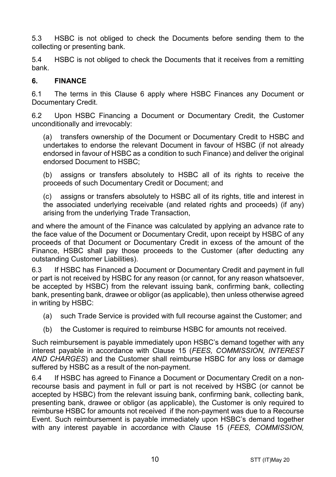5.3 HSBC is not obliged to check the Documents before sending them to the collecting or presenting bank.

5.4 HSBC is not obliged to check the Documents that it receives from a remitting bank.

#### **6. FINANCE**

6.1 The terms in this Clause 6 apply where HSBC Finances any Document or Documentary Credit.

6.2 Upon HSBC Financing a Document or Documentary Credit, the Customer unconditionally and irrevocably:

(a) transfers ownership of the Document or Documentary Credit to HSBC and undertakes to endorse the relevant Document in favour of HSBC (if not already endorsed in favour of HSBC as a condition to such Finance) and deliver the original endorsed Document to HSBC;

(b) assigns or transfers absolutely to HSBC all of its rights to receive the proceeds of such Documentary Credit or Document; and

(c) assigns or transfers absolutely to HSBC all of its rights, title and interest in the associated underlying receivable (and related rights and proceeds) (if any) arising from the underlying Trade Transaction,

and where the amount of the Finance was calculated by applying an advance rate to the face value of the Document or Documentary Credit, upon receipt by HSBC of any proceeds of that Document or Documentary Credit in excess of the amount of the Finance, HSBC shall pay those proceeds to the Customer (after deducting any outstanding Customer Liabilities).

6.3 If HSBC has Financed a Document or Documentary Credit and payment in full or part is not received by HSBC for any reason (or cannot, for any reason whatsoever, be accepted by HSBC) from the relevant issuing bank, confirming bank, collecting bank, presenting bank, drawee or obligor (as applicable), then unless otherwise agreed in writing by HSBC:

- (a) such Trade Service is provided with full recourse against the Customer; and
- (b) the Customer is required to reimburse HSBC for amounts not received.

Such reimbursement is payable immediately upon HSBC's demand together with any interest payable in accordance with Clause 15 (*FEES, COMMISSION, INTEREST AND CHARGES*) and the Customer shall reimburse HSBC for any loss or damage suffered by HSBC as a result of the non-payment.

6.4 If HSBC has agreed to Finance a Document or Documentary Credit on a nonrecourse basis and payment in full or part is not received by HSBC (or cannot be accepted by HSBC) from the relevant issuing bank, confirming bank, collecting bank, presenting bank, drawee or obligor (as applicable), the Customer is only required to reimburse HSBC for amounts not received if the non-payment was due to a Recourse Event. Such reimbursement is payable immediately upon HSBC's demand together with any interest payable in accordance with Clause 15 (*FEES, COMMISSION,*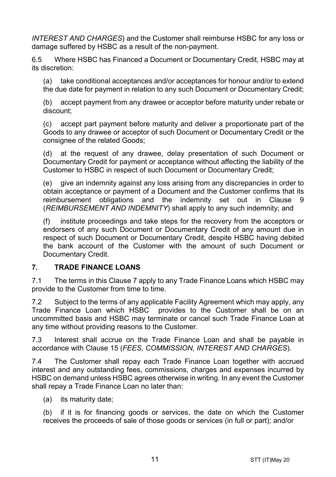*INTEREST AND CHARGES*) and the Customer shall reimburse HSBC for any loss or damage suffered by HSBC as a result of the non-payment.

6.5 Where HSBC has Financed a Document or Documentary Credit, HSBC may at its discretion:

(a) take conditional acceptances and/or acceptances for honour and/or to extend the due date for payment in relation to any such Document or Documentary Credit;

(b) accept payment from any drawee or acceptor before maturity under rebate or discount;

(c) accept part payment before maturity and deliver a proportionate part of the Goods to any drawee or acceptor of such Document or Documentary Credit or the consignee of the related Goods;

(d) at the request of any drawee, delay presentation of such Document or Documentary Credit for payment or acceptance without affecting the liability of the Customer to HSBC in respect of such Document or Documentary Credit;

(e) give an indemnity against any loss arising from any discrepancies in order to obtain acceptance or payment of a Document and the Customer confirms that its reimbursement obligations and the indemnity set out in Clause 9 (*REIMBURSEMENT AND INDEMNITY*) shall apply to any such indemnity; and

(f) institute proceedings and take steps for the recovery from the acceptors or endorsers of any such Document or Documentary Credit of any amount due in respect of such Document or Documentary Credit, despite HSBC having debited the bank account of the Customer with the amount of such Document or Documentary Credit.

## **7. TRADE FINANCE LOANS**

7.1 The terms in this Clause 7 apply to any Trade Finance Loans which HSBC may provide to the Customer from time to time.

7.2 Subject to the terms of any applicable Facility Agreement which may apply, any Trade Finance Loan which HSBC provides to the Customer shall be on an uncommitted basis and HSBC may terminate or cancel such Trade Finance Loan at any time without providing reasons to the Customer.

7.3 Interest shall accrue on the Trade Finance Loan and shall be payable in accordance with Clause 15 (*FEES, COMMISSION, INTEREST AND CHARGES*).

7.4 The Customer shall repay each Trade Finance Loan together with accrued interest and any outstanding fees, commissions, charges and expenses incurred by HSBC on demand unless HSBC agrees otherwise in writing. In any event the Customer shall repay a Trade Finance Loan no later than:

(a) its maturity date;

(b) if it is for financing goods or services, the date on which the Customer receives the proceeds of sale of those goods or services (in full or part); and/or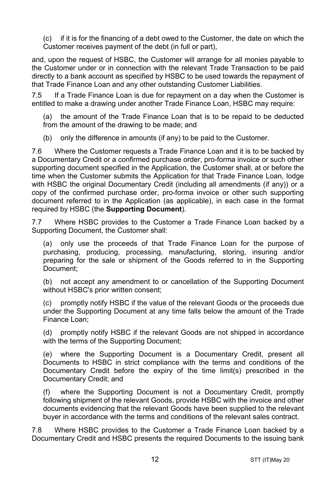(c) if it is for the financing of a debt owed to the Customer, the date on which the Customer receives payment of the debt (in full or part),

and, upon the request of HSBC, the Customer will arrange for all monies payable to the Customer under or in connection with the relevant Trade Transaction to be paid directly to a bank account as specified by HSBC to be used towards the repayment of that Trade Finance Loan and any other outstanding Customer Liabilities.

7.5 If a Trade Finance Loan is due for repayment on a day when the Customer is entitled to make a drawing under another Trade Finance Loan, HSBC may require:

(a) the amount of the Trade Finance Loan that is to be repaid to be deducted from the amount of the drawing to be made; and

(b) only the difference in amounts (if any) to be paid to the Customer.

7.6 Where the Customer requests a Trade Finance Loan and it is to be backed by a Documentary Credit or a confirmed purchase order, pro-forma invoice or such other supporting document specified in the Application, the Customer shall, at or before the time when the Customer submits the Application for that Trade Finance Loan, lodge with HSBC the original Documentary Credit (including all amendments (if any)) or a copy of the confirmed purchase order, pro-forma invoice or other such supporting document referred to in the Application (as applicable), in each case in the format required by HSBC (the **Supporting Document**).

7.7 Where HSBC provides to the Customer a Trade Finance Loan backed by a Supporting Document, the Customer shall:

(a) only use the proceeds of that Trade Finance Loan for the purpose of purchasing, producing, processing, manufacturing, storing, insuring and/or preparing for the sale or shipment of the Goods referred to in the Supporting Document;

(b) not accept any amendment to or cancellation of the Supporting Document without HSBC's prior written consent;

(c) promptly notify HSBC if the value of the relevant Goods or the proceeds due under the Supporting Document at any time falls below the amount of the Trade Finance Loan;

(d) promptly notify HSBC if the relevant Goods are not shipped in accordance with the terms of the Supporting Document;

(e) where the Supporting Document is a Documentary Credit, present all Documents to HSBC in strict compliance with the terms and conditions of the Documentary Credit before the expiry of the time limit(s) prescribed in the Documentary Credit; and

(f) where the Supporting Document is not a Documentary Credit, promptly following shipment of the relevant Goods, provide HSBC with the invoice and other documents evidencing that the relevant Goods have been supplied to the relevant buyer in accordance with the terms and conditions of the relevant sales contract.

7.8 Where HSBC provides to the Customer a Trade Finance Loan backed by a Documentary Credit and HSBC presents the required Documents to the issuing bank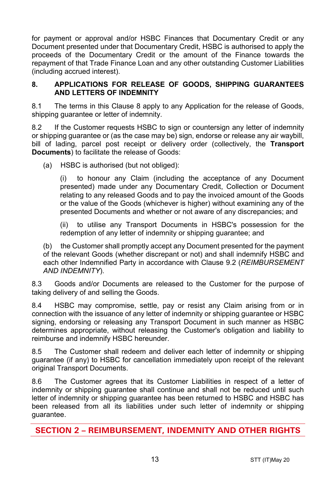for payment or approval and/or HSBC Finances that Documentary Credit or any Document presented under that Documentary Credit, HSBC is authorised to apply the proceeds of the Documentary Credit or the amount of the Finance towards the repayment of that Trade Finance Loan and any other outstanding Customer Liabilities (including accrued interest).

#### **8. APPLICATIONS FOR RELEASE OF GOODS, SHIPPING GUARANTEES AND LETTERS OF INDEMNITY**

8.1 The terms in this Clause 8 apply to any Application for the release of Goods, shipping guarantee or letter of indemnity.

8.2 If the Customer requests HSBC to sign or countersign any letter of indemnity or shipping guarantee or (as the case may be) sign, endorse or release any air waybill, bill of lading, parcel post receipt or delivery order (collectively, the **Transport Documents**) to facilitate the release of Goods:

(a) HSBC is authorised (but not obliged):

(i) to honour any Claim (including the acceptance of any Document presented) made under any Documentary Credit, Collection or Document relating to any released Goods and to pay the invoiced amount of the Goods or the value of the Goods (whichever is higher) without examining any of the presented Documents and whether or not aware of any discrepancies; and

(ii) to utilise any Transport Documents in HSBC's possession for the redemption of any letter of indemnity or shipping guarantee; and

(b) the Customer shall promptly accept any Document presented for the payment of the relevant Goods (whether discrepant or not) and shall indemnify HSBC and each other Indemnified Party in accordance with Clause 9.2 (*REIMBURSEMENT AND INDEMNITY*).

8.3 Goods and/or Documents are released to the Customer for the purpose of taking delivery of and selling the Goods.

8.4 HSBC may compromise, settle, pay or resist any Claim arising from or in connection with the issuance of any letter of indemnity or shipping guarantee or HSBC signing, endorsing or releasing any Transport Document in such manner as HSBC determines appropriate, without releasing the Customer's obligation and liability to reimburse and indemnify HSBC hereunder.

8.5 The Customer shall redeem and deliver each letter of indemnity or shipping guarantee (if any) to HSBC for cancellation immediately upon receipt of the relevant original Transport Documents.

8.6 The Customer agrees that its Customer Liabilities in respect of a letter of indemnity or shipping guarantee shall continue and shall not be reduced until such letter of indemnity or shipping guarantee has been returned to HSBC and HSBC has been released from all its liabilities under such letter of indemnity or shipping guarantee.

**SECTION 2 – REIMBURSEMENT, INDEMNITY AND OTHER RIGHTS**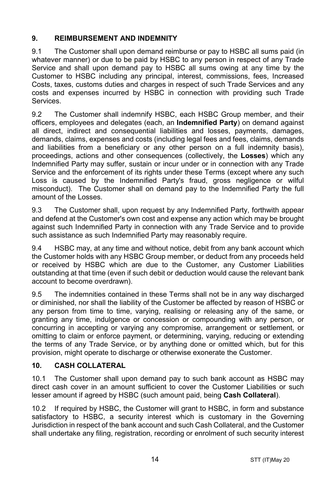## **9. REIMBURSEMENT AND INDEMNITY**

9.1 The Customer shall upon demand reimburse or pay to HSBC all sums paid (in whatever manner) or due to be paid by HSBC to any person in respect of any Trade Service and shall upon demand pay to HSBC all sums owing at any time by the Customer to HSBC including any principal, interest, commissions, fees, Increased Costs, taxes, customs duties and charges in respect of such Trade Services and any costs and expenses incurred by HSBC in connection with providing such Trade Services.

9.2 The Customer shall indemnify HSBC, each HSBC Group member, and their officers, employees and delegates (each, an **Indemnified Party**) on demand against all direct, indirect and consequential liabilities and losses, payments, damages, demands, claims, expenses and costs (including legal fees and fees, claims, demands and liabilities from a beneficiary or any other person on a full indemnity basis), proceedings, actions and other consequences (collectively, the **Losses**) which any Indemnified Party may suffer, sustain or incur under or in connection with any Trade Service and the enforcement of its rights under these Terms (except where any such Loss is caused by the Indemnified Party's fraud, gross negligence or wilful misconduct). The Customer shall on demand pay to the Indemnified Party the full amount of the Losses.

9.3 The Customer shall, upon request by any Indemnified Party, forthwith appear and defend at the Customer's own cost and expense any action which may be brought against such Indemnified Party in connection with any Trade Service and to provide such assistance as such Indemnified Party may reasonably require.

9.4 HSBC may, at any time and without notice, debit from any bank account which the Customer holds with any HSBC Group member, or deduct from any proceeds held or received by HSBC which are due to the Customer, any Customer Liabilities outstanding at that time (even if such debit or deduction would cause the relevant bank account to become overdrawn).

9.5 The indemnities contained in these Terms shall not be in any way discharged or diminished, nor shall the liability of the Customer be affected by reason of HSBC or any person from time to time, varying, realising or releasing any of the same, or granting any time, indulgence or concession or compounding with any person, or concurring in accepting or varying any compromise, arrangement or settlement, or omitting to claim or enforce payment, or determining, varying, reducing or extending the terms of any Trade Service, or by anything done or omitted which, but for this provision, might operate to discharge or otherwise exonerate the Customer.

## **10. CASH COLLATERAL**

10.1 The Customer shall upon demand pay to such bank account as HSBC may direct cash cover in an amount sufficient to cover the Customer Liabilities or such lesser amount if agreed by HSBC (such amount paid, being **Cash Collateral**).

10.2 If required by HSBC, the Customer will grant to HSBC, in form and substance satisfactory to HSBC, a security interest which is customary in the Governing Jurisdiction in respect of the bank account and such Cash Collateral, and the Customer shall undertake any filing, registration, recording or enrolment of such security interest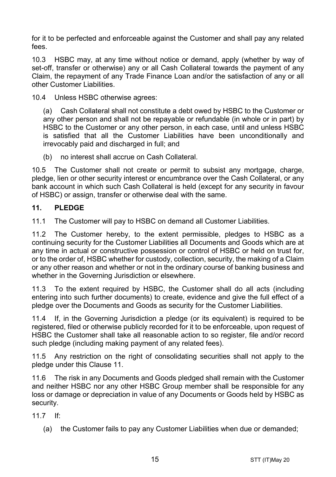for it to be perfected and enforceable against the Customer and shall pay any related fees.

10.3 HSBC may, at any time without notice or demand, apply (whether by way of set-off, transfer or otherwise) any or all Cash Collateral towards the payment of any Claim, the repayment of any Trade Finance Loan and/or the satisfaction of any or all other Customer Liabilities.

10.4 Unless HSBC otherwise agrees:

(a) Cash Collateral shall not constitute a debt owed by HSBC to the Customer or any other person and shall not be repayable or refundable (in whole or in part) by HSBC to the Customer or any other person, in each case, until and unless HSBC is satisfied that all the Customer Liabilities have been unconditionally and irrevocably paid and discharged in full; and

(b) no interest shall accrue on Cash Collateral.

10.5 The Customer shall not create or permit to subsist any mortgage, charge, pledge, lien or other security interest or encumbrance over the Cash Collateral, or any bank account in which such Cash Collateral is held (except for any security in favour of HSBC) or assign, transfer or otherwise deal with the same.

#### **11. PLEDGE**

11.1 The Customer will pay to HSBC on demand all Customer Liabilities.

11.2 The Customer hereby, to the extent permissible, pledges to HSBC as a continuing security for the Customer Liabilities all Documents and Goods which are at any time in actual or constructive possession or control of HSBC or held on trust for, or to the order of, HSBC whether for custody, collection, security, the making of a Claim or any other reason and whether or not in the ordinary course of banking business and whether in the Governing Jurisdiction or elsewhere.

11.3 To the extent required by HSBC, the Customer shall do all acts (including entering into such further documents) to create, evidence and give the full effect of a pledge over the Documents and Goods as security for the Customer Liabilities.

11.4 If, in the Governing Jurisdiction a pledge (or its equivalent) is required to be registered, filed or otherwise publicly recorded for it to be enforceable, upon request of HSBC the Customer shall take all reasonable action to so register, file and/or record such pledge (including making payment of any related fees).

11.5 Any restriction on the right of consolidating securities shall not apply to the pledge under this Clause 11.

11.6 The risk in any Documents and Goods pledged shall remain with the Customer and neither HSBC nor any other HSBC Group member shall be responsible for any loss or damage or depreciation in value of any Documents or Goods held by HSBC as security.

11.7 If:

(a) the Customer fails to pay any Customer Liabilities when due or demanded;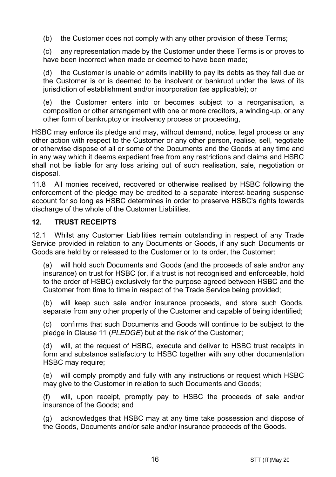(b) the Customer does not comply with any other provision of these Terms;

(c) any representation made by the Customer under these Terms is or proves to have been incorrect when made or deemed to have been made;

(d) the Customer is unable or admits inability to pay its debts as they fall due or the Customer is or is deemed to be insolvent or bankrupt under the laws of its jurisdiction of establishment and/or incorporation (as applicable); or

(e) the Customer enters into or becomes subject to a reorganisation, a composition or other arrangement with one or more creditors, a winding-up, or any other form of bankruptcy or insolvency process or proceeding,

HSBC may enforce its pledge and may, without demand, notice, legal process or any other action with respect to the Customer or any other person, realise, sell, negotiate or otherwise dispose of all or some of the Documents and the Goods at any time and in any way which it deems expedient free from any restrictions and claims and HSBC shall not be liable for any loss arising out of such realisation, sale, negotiation or disposal.

11.8 All monies received, recovered or otherwise realised by HSBC following the enforcement of the pledge may be credited to a separate interest-bearing suspense account for so long as HSBC determines in order to preserve HSBC's rights towards discharge of the whole of the Customer Liabilities.

## **12. TRUST RECEIPTS**

12.1 Whilst any Customer Liabilities remain outstanding in respect of any Trade Service provided in relation to any Documents or Goods, if any such Documents or Goods are held by or released to the Customer or to its order, the Customer:

(a) will hold such Documents and Goods (and the proceeds of sale and/or any insurance) on trust for HSBC (or, if a trust is not recognised and enforceable, hold to the order of HSBC) exclusively for the purpose agreed between HSBC and the Customer from time to time in respect of the Trade Service being provided;

(b) will keep such sale and/or insurance proceeds, and store such Goods, separate from any other property of the Customer and capable of being identified;

(c) confirms that such Documents and Goods will continue to be subject to the pledge in Clause 11 (*PLEDGE*) but at the risk of the Customer;

(d) will, at the request of HSBC, execute and deliver to HSBC trust receipts in form and substance satisfactory to HSBC together with any other documentation HSBC may require:

(e) will comply promptly and fully with any instructions or request which HSBC may give to the Customer in relation to such Documents and Goods;

(f) will, upon receipt, promptly pay to HSBC the proceeds of sale and/or insurance of the Goods; and

(g) acknowledges that HSBC may at any time take possession and dispose of the Goods, Documents and/or sale and/or insurance proceeds of the Goods.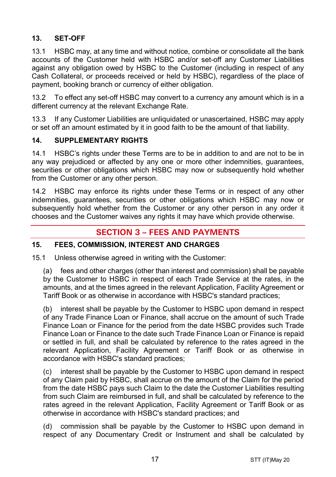## **13. SET-OFF**

13.1 HSBC may, at any time and without notice, combine or consolidate all the bank accounts of the Customer held with HSBC and/or set-off any Customer Liabilities against any obligation owed by HSBC to the Customer (including in respect of any Cash Collateral, or proceeds received or held by HSBC), regardless of the place of payment, booking branch or currency of either obligation.

13.2 To effect any set-off HSBC may convert to a currency any amount which is in a different currency at the relevant Exchange Rate.

13.3 If any Customer Liabilities are unliquidated or unascertained, HSBC may apply or set off an amount estimated by it in good faith to be the amount of that liability.

## **14. SUPPLEMENTARY RIGHTS**

14.1 HSBC's rights under these Terms are to be in addition to and are not to be in any way prejudiced or affected by any one or more other indemnities, guarantees, securities or other obligations which HSBC may now or subsequently hold whether from the Customer or any other person.

14.2 HSBC may enforce its rights under these Terms or in respect of any other indemnities, guarantees, securities or other obligations which HSBC may now or subsequently hold whether from the Customer or any other person in any order it chooses and the Customer waives any rights it may have which provide otherwise.

# **SECTION 3 – FEES AND PAYMENTS**

## **15. FEES, COMMISSION, INTEREST AND CHARGES**

15.1 Unless otherwise agreed in writing with the Customer:

(a) fees and other charges (other than interest and commission) shall be payable by the Customer to HSBC in respect of each Trade Service at the rates, in the amounts, and at the times agreed in the relevant Application, Facility Agreement or Tariff Book or as otherwise in accordance with HSBC's standard practices;

(b) interest shall be payable by the Customer to HSBC upon demand in respect of any Trade Finance Loan or Finance, shall accrue on the amount of such Trade Finance Loan or Finance for the period from the date HSBC provides such Trade Finance Loan or Finance to the date such Trade Finance Loan or Finance is repaid or settled in full, and shall be calculated by reference to the rates agreed in the relevant Application, Facility Agreement or Tariff Book or as otherwise in accordance with HSBC's standard practices;

(c) interest shall be payable by the Customer to HSBC upon demand in respect of any Claim paid by HSBC, shall accrue on the amount of the Claim for the period from the date HSBC pays such Claim to the date the Customer Liabilities resulting from such Claim are reimbursed in full, and shall be calculated by reference to the rates agreed in the relevant Application, Facility Agreement or Tariff Book or as otherwise in accordance with HSBC's standard practices; and

(d) commission shall be payable by the Customer to HSBC upon demand in respect of any Documentary Credit or Instrument and shall be calculated by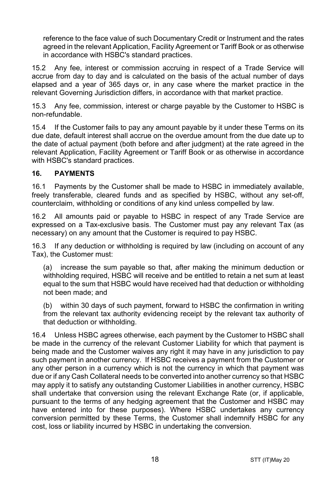reference to the face value of such Documentary Credit or Instrument and the rates agreed in the relevant Application, Facility Agreement or Tariff Book or as otherwise in accordance with HSBC's standard practices.

15.2 Any fee, interest or commission accruing in respect of a Trade Service will accrue from day to day and is calculated on the basis of the actual number of days elapsed and a year of 365 days or, in any case where the market practice in the relevant Governing Jurisdiction differs, in accordance with that market practice.

15.3 Any fee, commission, interest or charge payable by the Customer to HSBC is non-refundable.

15.4 If the Customer fails to pay any amount payable by it under these Terms on its due date, default interest shall accrue on the overdue amount from the due date up to the date of actual payment (both before and after judgment) at the rate agreed in the relevant Application, Facility Agreement or Tariff Book or as otherwise in accordance with HSBC's standard practices.

## **16. PAYMENTS**

16.1 Payments by the Customer shall be made to HSBC in immediately available, freely transferable, cleared funds and as specified by HSBC, without any set-off, counterclaim, withholding or conditions of any kind unless compelled by law.

16.2 All amounts paid or payable to HSBC in respect of any Trade Service are expressed on a Tax-exclusive basis. The Customer must pay any relevant Tax (as necessary) on any amount that the Customer is required to pay HSBC.

16.3 If any deduction or withholding is required by law (including on account of any Tax), the Customer must:

(a) increase the sum payable so that, after making the minimum deduction or withholding required, HSBC will receive and be entitled to retain a net sum at least equal to the sum that HSBC would have received had that deduction or withholding not been made; and

(b) within 30 days of such payment, forward to HSBC the confirmation in writing from the relevant tax authority evidencing receipt by the relevant tax authority of that deduction or withholding.

16.4 Unless HSBC agrees otherwise, each payment by the Customer to HSBC shall be made in the currency of the relevant Customer Liability for which that payment is being made and the Customer waives any right it may have in any jurisdiction to pay such payment in another currency. If HSBC receives a payment from the Customer or any other person in a currency which is not the currency in which that payment was due or if any Cash Collateral needs to be converted into another currency so that HSBC may apply it to satisfy any outstanding Customer Liabilities in another currency, HSBC shall undertake that conversion using the relevant Exchange Rate (or, if applicable, pursuant to the terms of any hedging agreement that the Customer and HSBC may have entered into for these purposes). Where HSBC undertakes any currency conversion permitted by these Terms, the Customer shall indemnify HSBC for any cost, loss or liability incurred by HSBC in undertaking the conversion.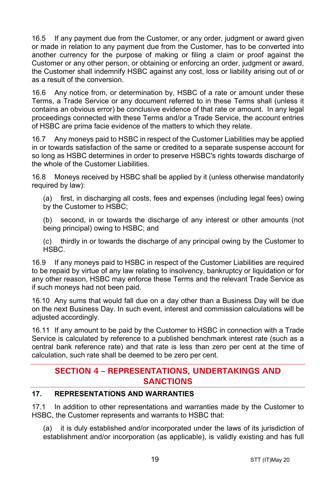16.5 If any payment due from the Customer, or any order, judgment or award given or made in relation to any payment due from the Customer, has to be converted into another currency for the purpose of making or filing a claim or proof against the Customer or any other person, or obtaining or enforcing an order, judgment or award. the Customer shall indemnify HSBC against any cost, loss or liability arising out of or as a result of the conversion.

16.6 Any notice from, or determination by, HSBC of a rate or amount under these Terms, a Trade Service or any document referred to in these Terms shall (unless it contains an obvious error) be conclusive evidence of that rate or amount. In any legal proceedings connected with these Terms and/or a Trade Service, the account entries of HSBC are prima facie evidence of the matters to which they relate.

16.7 Any moneys paid to HSBC in respect of the Customer Liabilities may be applied in or towards satisfaction of the same or credited to a separate suspense account for so long as HSBC determines in order to preserve HSBC's rights towards discharge of the whole of the Customer Liabilities.

16.8 Moneys received by HSBC shall be applied by it (unless otherwise mandatorily required by law):

(a) first, in discharging all costs, fees and expenses (including legal fees) owing by the Customer to HSBC;

(b) second, in or towards the discharge of any interest or other amounts (not being principal) owing to HSBC; and

(c) thirdly in or towards the discharge of any principal owing by the Customer to HSBC.

16.9 If any moneys paid to HSBC in respect of the Customer Liabilities are required to be repaid by virtue of any law relating to insolvency, bankruptcy or liquidation or for any other reason, HSBC may enforce these Terms and the relevant Trade Service as if such moneys had not been paid.

16.10 Any sums that would fall due on a day other than a Business Day will be due on the next Business Day. In such event, interest and commission calculations will be adjusted accordingly.

16.11 If any amount to be paid by the Customer to HSBC in connection with a Trade Service is calculated by reference to a published benchmark interest rate (such as a central bank reference rate) and that rate is less than zero per cent at the time of calculation, such rate shall be deemed to be zero per cent.

# **SECTION 4 – REPRESENTATIONS, UNDERTAKINGS AND SANCTIONS**

## **17. REPRESENTATIONS AND WARRANTIES**

17.1 In addition to other representations and warranties made by the Customer to HSBC, the Customer represents and warrants to HSBC that:

(a) it is duly established and/or incorporated under the laws of its jurisdiction of establishment and/or incorporation (as applicable), is validly existing and has full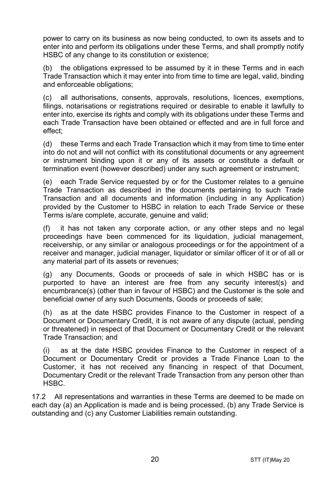power to carry on its business as now being conducted, to own its assets and to enter into and perform its obligations under these Terms, and shall promptly notify HSBC of any change to its constitution or existence;

(b) the obligations expressed to be assumed by it in these Terms and in each Trade Transaction which it may enter into from time to time are legal, valid, binding and enforceable obligations;

(c) all authorisations, consents, approvals, resolutions, licences, exemptions, filings, notarisations or registrations required or desirable to enable it lawfully to enter into, exercise its rights and comply with its obligations under these Terms and each Trade Transaction have been obtained or effected and are in full force and effect;

(d) these Terms and each Trade Transaction which it may from time to time enter into do not and will not conflict with its constitutional documents or any agreement or instrument binding upon it or any of its assets or constitute a default or termination event (however described) under any such agreement or instrument;

(e) each Trade Service requested by or for the Customer relates to a genuine Trade Transaction as described in the documents pertaining to such Trade Transaction and all documents and information (including in any Application) provided by the Customer to HSBC in relation to each Trade Service or these Terms is/are complete, accurate, genuine and valid;

(f) it has not taken any corporate action, or any other steps and no legal proceedings have been commenced for its liquidation, judicial management, receivership, or any similar or analogous proceedings or for the appointment of a receiver and manager, judicial manager, liquidator or similar officer of it or of all or any material part of its assets or revenues;

(g) any Documents, Goods or proceeds of sale in which HSBC has or is purported to have an interest are free from any security interest(s) and encumbrance(s) (other than in favour of HSBC) and the Customer is the sole and beneficial owner of any such Documents, Goods or proceeds of sale;

(h) as at the date HSBC provides Finance to the Customer in respect of a Document or Documentary Credit, it is not aware of any dispute (actual, pending or threatened) in respect of that Document or Documentary Credit or the relevant Trade Transaction; and

(i) as at the date HSBC provides Finance to the Customer in respect of a Document or Documentary Credit or provides a Trade Finance Loan to the Customer, it has not received any financing in respect of that Document, Documentary Credit or the relevant Trade Transaction from any person other than HSBC.

17.2 All representations and warranties in these Terms are deemed to be made on each day (a) an Application is made and is being processed, (b) any Trade Service is outstanding and (c) any Customer Liabilities remain outstanding.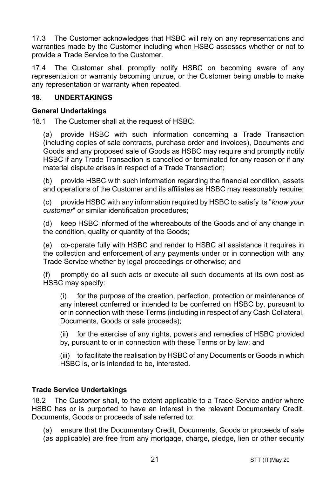17.3 The Customer acknowledges that HSBC will rely on any representations and warranties made by the Customer including when HSBC assesses whether or not to provide a Trade Service to the Customer.

17.4 The Customer shall promptly notify HSBC on becoming aware of any representation or warranty becoming untrue, or the Customer being unable to make any representation or warranty when repeated.

## **18. UNDERTAKINGS**

#### **General Undertakings**

18.1 The Customer shall at the request of HSBC:

(a) provide HSBC with such information concerning a Trade Transaction (including copies of sale contracts, purchase order and invoices), Documents and Goods and any proposed sale of Goods as HSBC may require and promptly notify HSBC if any Trade Transaction is cancelled or terminated for any reason or if any material dispute arises in respect of a Trade Transaction;

(b) provide HSBC with such information regarding the financial condition, assets and operations of the Customer and its affiliates as HSBC may reasonably require;

(c) provide HSBC with any information required by HSBC to satisfy its "*know your customer*" or similar identification procedures;

(d) keep HSBC informed of the whereabouts of the Goods and of any change in the condition, quality or quantity of the Goods;

(e) co-operate fully with HSBC and render to HSBC all assistance it requires in the collection and enforcement of any payments under or in connection with any Trade Service whether by legal proceedings or otherwise; and

(f) promptly do all such acts or execute all such documents at its own cost as HSBC may specify:

(i) for the purpose of the creation, perfection, protection or maintenance of any interest conferred or intended to be conferred on HSBC by, pursuant to or in connection with these Terms (including in respect of any Cash Collateral, Documents, Goods or sale proceeds);

(ii) for the exercise of any rights, powers and remedies of HSBC provided by, pursuant to or in connection with these Terms or by law; and

(iii) to facilitate the realisation by HSBC of any Documents or Goods in which HSBC is, or is intended to be, interested.

## **Trade Service Undertakings**

18.2 The Customer shall, to the extent applicable to a Trade Service and/or where HSBC has or is purported to have an interest in the relevant Documentary Credit, Documents, Goods or proceeds of sale referred to:

(a) ensure that the Documentary Credit, Documents, Goods or proceeds of sale (as applicable) are free from any mortgage, charge, pledge, lien or other security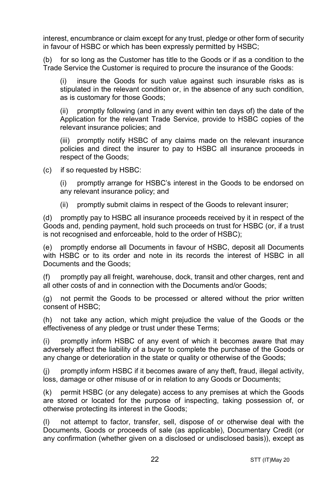interest, encumbrance or claim except for any trust, pledge or other form of security in favour of HSBC or which has been expressly permitted by HSBC;

(b) for so long as the Customer has title to the Goods or if as a condition to the Trade Service the Customer is required to procure the insurance of the Goods:

(i) insure the Goods for such value against such insurable risks as is stipulated in the relevant condition or, in the absence of any such condition, as is customary for those Goods;

(ii) promptly following (and in any event within ten days of) the date of the Application for the relevant Trade Service, provide to HSBC copies of the relevant insurance policies; and

(iii) promptly notify HSBC of any claims made on the relevant insurance policies and direct the insurer to pay to HSBC all insurance proceeds in respect of the Goods;

(c) if so requested by HSBC:

(i) promptly arrange for HSBC's interest in the Goods to be endorsed on any relevant insurance policy; and

(ii) promptly submit claims in respect of the Goods to relevant insurer;

(d) promptly pay to HSBC all insurance proceeds received by it in respect of the Goods and, pending payment, hold such proceeds on trust for HSBC (or, if a trust is not recognised and enforceable, hold to the order of HSBC);

(e) promptly endorse all Documents in favour of HSBC, deposit all Documents with HSBC or to its order and note in its records the interest of HSBC in all Documents and the Goods;

(f) promptly pay all freight, warehouse, dock, transit and other charges, rent and all other costs of and in connection with the Documents and/or Goods;

(g) not permit the Goods to be processed or altered without the prior written consent of HSBC;

(h) not take any action, which might prejudice the value of the Goods or the effectiveness of any pledge or trust under these Terms;

(i) promptly inform HSBC of any event of which it becomes aware that may adversely affect the liability of a buyer to complete the purchase of the Goods or any change or deterioration in the state or quality or otherwise of the Goods;

(j) promptly inform HSBC if it becomes aware of any theft, fraud, illegal activity, loss, damage or other misuse of or in relation to any Goods or Documents;

(k) permit HSBC (or any delegate) access to any premises at which the Goods are stored or located for the purpose of inspecting, taking possession of, or otherwise protecting its interest in the Goods;

(l) not attempt to factor, transfer, sell, dispose of or otherwise deal with the Documents, Goods or proceeds of sale (as applicable), Documentary Credit (or any confirmation (whether given on a disclosed or undisclosed basis)), except as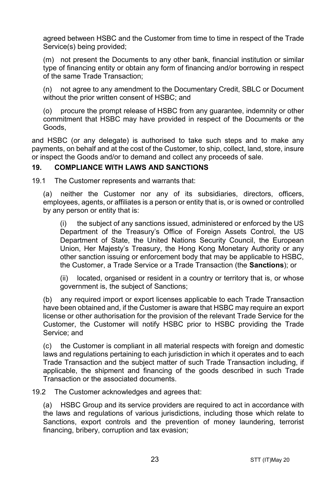agreed between HSBC and the Customer from time to time in respect of the Trade Service(s) being provided;

(m) not present the Documents to any other bank, financial institution or similar type of financing entity or obtain any form of financing and/or borrowing in respect of the same Trade Transaction;

(n) not agree to any amendment to the Documentary Credit, SBLC or Document without the prior written consent of HSBC; and

(o) procure the prompt release of HSBC from any guarantee, indemnity or other commitment that HSBC may have provided in respect of the Documents or the Goods,

and HSBC (or any delegate) is authorised to take such steps and to make any payments, on behalf and at the cost of the Customer, to ship, collect, land, store, insure or inspect the Goods and/or to demand and collect any proceeds of sale.

## **19. COMPLIANCE WITH LAWS AND SANCTIONS**

19.1 The Customer represents and warrants that:

(a) neither the Customer nor any of its subsidiaries, directors, officers, employees, agents, or affiliates is a person or entity that is, or is owned or controlled by any person or entity that is:

(i) the subject of any sanctions issued, administered or enforced by the US Department of the Treasury's Office of Foreign Assets Control, the US Department of State, the United Nations Security Council, the European Union, Her Majesty's Treasury, the Hong Kong Monetary Authority or any other sanction issuing or enforcement body that may be applicable to HSBC, the Customer, a Trade Service or a Trade Transaction (the **Sanctions**); or

(ii) located, organised or resident in a country or territory that is, or whose government is, the subject of Sanctions;

(b) any required import or export licenses applicable to each Trade Transaction have been obtained and, if the Customer is aware that HSBC may require an export license or other authorisation for the provision of the relevant Trade Service for the Customer, the Customer will notify HSBC prior to HSBC providing the Trade Service; and

(c) the Customer is compliant in all material respects with foreign and domestic laws and regulations pertaining to each jurisdiction in which it operates and to each Trade Transaction and the subject matter of such Trade Transaction including, if applicable, the shipment and financing of the goods described in such Trade Transaction or the associated documents.

19.2 The Customer acknowledges and agrees that:

(a) HSBC Group and its service providers are required to act in accordance with the laws and regulations of various jurisdictions, including those which relate to Sanctions, export controls and the prevention of money laundering, terrorist financing, bribery, corruption and tax evasion;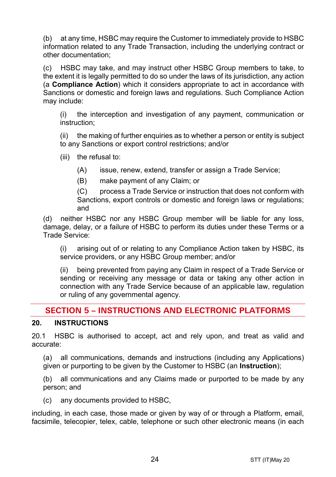(b) at any time, HSBC may require the Customer to immediately provide to HSBC information related to any Trade Transaction, including the underlying contract or other documentation;

(c) HSBC may take, and may instruct other HSBC Group members to take, to the extent it is legally permitted to do so under the laws of its jurisdiction, any action (a **Compliance Action**) which it considers appropriate to act in accordance with Sanctions or domestic and foreign laws and regulations. Such Compliance Action may include:

(i) the interception and investigation of any payment, communication or instruction;

(ii) the making of further enquiries as to whether a person or entity is subject to any Sanctions or export control restrictions; and/or

(iii) the refusal to:

(A) issue, renew, extend, transfer or assign a Trade Service;

(B) make payment of any Claim; or

(C) process a Trade Service or instruction that does not conform with Sanctions, export controls or domestic and foreign laws or regulations; and

(d) neither HSBC nor any HSBC Group member will be liable for any loss, damage, delay, or a failure of HSBC to perform its duties under these Terms or a Trade Service:

(i) arising out of or relating to any Compliance Action taken by HSBC, its service providers, or any HSBC Group member; and/or

(ii) being prevented from paying any Claim in respect of a Trade Service or sending or receiving any message or data or taking any other action in connection with any Trade Service because of an applicable law, regulation or ruling of any governmental agency.

# **SECTION 5 – INSTRUCTIONS AND ELECTRONIC PLATFORMS**

## **20. INSTRUCTIONS**

20.1 HSBC is authorised to accept, act and rely upon, and treat as valid and accurate:

(a) all communications, demands and instructions (including any Applications) given or purporting to be given by the Customer to HSBC (an **Instruction**);

(b) all communications and any Claims made or purported to be made by any person; and

(c) any documents provided to HSBC,

including, in each case, those made or given by way of or through a Platform, email, facsimile, telecopier, telex, cable, telephone or such other electronic means (in each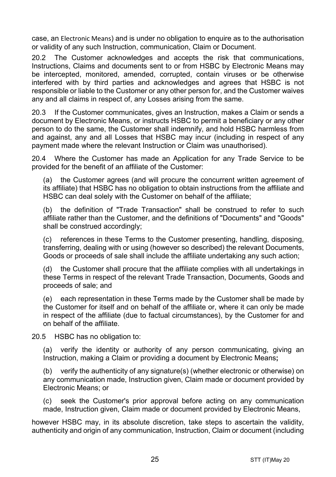case, an Electronic Means) and is under no obligation to enquire as to the authorisation or validity of any such Instruction, communication, Claim or Document.

20.2 The Customer acknowledges and accepts the risk that communications, Instructions, Claims and documents sent to or from HSBC by Electronic Means may be intercepted, monitored, amended, corrupted, contain viruses or be otherwise interfered with by third parties and acknowledges and agrees that HSBC is not responsible or liable to the Customer or any other person for, and the Customer waives any and all claims in respect of, any Losses arising from the same.

20.3 If the Customer communicates, gives an Instruction, makes a Claim or sends a document by Electronic Means, or instructs HSBC to permit a beneficiary or any other person to do the same, the Customer shall indemnify, and hold HSBC harmless from and against, any and all Losses that HSBC may incur (including in respect of any payment made where the relevant Instruction or Claim was unauthorised).

20.4 Where the Customer has made an Application for any Trade Service to be provided for the benefit of an affiliate of the Customer:

(a) the Customer agrees (and will procure the concurrent written agreement of its affiliate) that HSBC has no obligation to obtain instructions from the affiliate and HSBC can deal solely with the Customer on behalf of the affiliate;

(b) the definition of "Trade Transaction" shall be construed to refer to such affiliate rather than the Customer, and the definitions of "Documents" and "Goods" shall be construed accordingly;

(c) references in these Terms to the Customer presenting, handling, disposing, transferring, dealing with or using (however so described) the relevant Documents, Goods or proceeds of sale shall include the affiliate undertaking any such action;

(d) the Customer shall procure that the affiliate complies with all undertakings in these Terms in respect of the relevant Trade Transaction, Documents, Goods and proceeds of sale; and

(e) each representation in these Terms made by the Customer shall be made by the Customer for itself and on behalf of the affiliate or, where it can only be made in respect of the affiliate (due to factual circumstances), by the Customer for and on behalf of the affiliate.

20.5 HSBC has no obligation to:

(a) verify the identity or authority of any person communicating, giving an Instruction, making a Claim or providing a document by Electronic Means**;**

(b) verify the authenticity of any signature(s) (whether electronic or otherwise) on any communication made, Instruction given, Claim made or document provided by Electronic Means; or

(c) seek the Customer's prior approval before acting on any communication made, Instruction given, Claim made or document provided by Electronic Means,

however HSBC may, in its absolute discretion, take steps to ascertain the validity, authenticity and origin of any communication, Instruction, Claim or document (including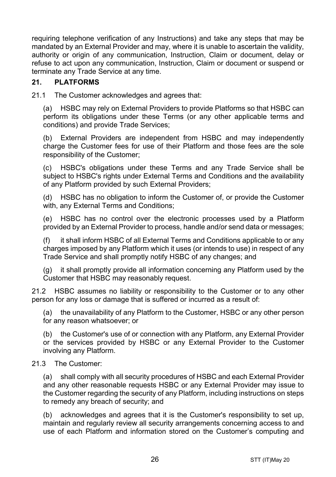requiring telephone verification of any Instructions) and take any steps that may be mandated by an External Provider and may, where it is unable to ascertain the validity, authority or origin of any communication, Instruction, Claim or document, delay or refuse to act upon any communication, Instruction, Claim or document or suspend or terminate any Trade Service at any time.

## **21. PLATFORMS**

21.1 The Customer acknowledges and agrees that:

(a) HSBC may rely on External Providers to provide Platforms so that HSBC can perform its obligations under these Terms (or any other applicable terms and conditions) and provide Trade Services;

(b) External Providers are independent from HSBC and may independently charge the Customer fees for use of their Platform and those fees are the sole responsibility of the Customer;

(c) HSBC's obligations under these Terms and any Trade Service shall be subject to HSBC's rights under External Terms and Conditions and the availability of any Platform provided by such External Providers;

(d) HSBC has no obligation to inform the Customer of, or provide the Customer with, any External Terms and Conditions;

(e) HSBC has no control over the electronic processes used by a Platform provided by an External Provider to process, handle and/or send data or messages;

(f) it shall inform HSBC of all External Terms and Conditions applicable to or any charges imposed by any Platform which it uses (or intends to use) in respect of any Trade Service and shall promptly notify HSBC of any changes; and

(g) it shall promptly provide all information concerning any Platform used by the Customer that HSBC may reasonably request.

21.2 HSBC assumes no liability or responsibility to the Customer or to any other person for any loss or damage that is suffered or incurred as a result of:

(a) the unavailability of any Platform to the Customer, HSBC or any other person for any reason whatsoever; or

(b) the Customer's use of or connection with any Platform, any External Provider or the services provided by HSBC or any External Provider to the Customer involving any Platform.

#### 21.3 The Customer:

(a) shall comply with all security procedures of HSBC and each External Provider and any other reasonable requests HSBC or any External Provider may issue to the Customer regarding the security of any Platform, including instructions on steps to remedy any breach of security; and

(b) acknowledges and agrees that it is the Customer's responsibility to set up, maintain and regularly review all security arrangements concerning access to and use of each Platform and information stored on the Customer's computing and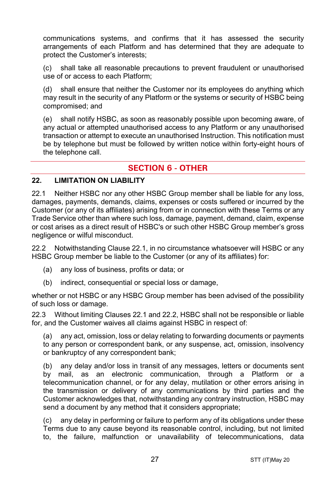communications systems, and confirms that it has assessed the security arrangements of each Platform and has determined that they are adequate to protect the Customer's interests;

(c) shall take all reasonable precautions to prevent fraudulent or unauthorised use of or access to each Platform;

(d) shall ensure that neither the Customer nor its employees do anything which may result in the security of any Platform or the systems or security of HSBC being compromised; and

(e) shall notify HSBC, as soon as reasonably possible upon becoming aware, of any actual or attempted unauthorised access to any Platform or any unauthorised transaction or attempt to execute an unauthorised Instruction. This notification must be by telephone but must be followed by written notice within forty-eight hours of the telephone call.

# **SECTION 6 - OTHER**

#### **22. LIMITATION ON LIABILITY**

22.1 Neither HSBC nor any other HSBC Group member shall be liable for any loss, damages, payments, demands, claims, expenses or costs suffered or incurred by the Customer (or any of its affiliates) arising from or in connection with these Terms or any Trade Service other than where such loss, damage, payment, demand, claim, expense or cost arises as a direct result of HSBC's or such other HSBC Group member's gross negligence or wilful misconduct.

22.2 Notwithstanding Clause 22.1, in no circumstance whatsoever will HSBC or any HSBC Group member be liable to the Customer (or any of its affiliates) for:

- (a) any loss of business, profits or data; or
- (b) indirect, consequential or special loss or damage,

whether or not HSBC or any HSBC Group member has been advised of the possibility of such loss or damage.

22.3 Without limiting Clauses 22.1 and 22.2, HSBC shall not be responsible or liable for, and the Customer waives all claims against HSBC in respect of:

(a) any act, omission, loss or delay relating to forwarding documents or payments to any person or correspondent bank, or any suspense, act, omission, insolvency or bankruptcy of any correspondent bank;

(b) any delay and/or loss in transit of any messages, letters or documents sent by mail, as an electronic communication, through a Platform or a telecommunication channel, or for any delay, mutilation or other errors arising in the transmission or delivery of any communications by third parties and the Customer acknowledges that, notwithstanding any contrary instruction, HSBC may send a document by any method that it considers appropriate;

(c) any delay in performing or failure to perform any of its obligations under these Terms due to any cause beyond its reasonable control, including, but not limited to, the failure, malfunction or unavailability of telecommunications, data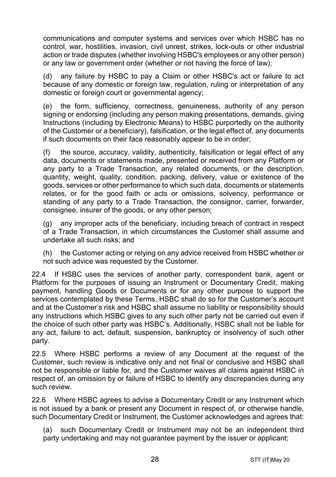communications and computer systems and services over which HSBC has no control, war, hostilities, invasion, civil unrest, strikes, lock-outs or other industrial action or trade disputes (whether involving HSBC's employees or any other person) or any law or government order (whether or not having the force of law);

(d) any failure by HSBC to pay a Claim or other HSBC's act or failure to act because of any domestic or foreign law, regulation, ruling or interpretation of any domestic or foreign court or governmental agency;

(e) the form, sufficiency, correctness, genuineness, authority of any person signing or endorsing (including any person making presentations, demands, giving Instructions (including by Electronic Means) to HSBC purportedly on the authority of the Customer or a beneficiary), falsification, or the legal effect of, any documents if such documents on their face reasonably appear to be in order;

(f) the source, accuracy, validity, authenticity, falsification or legal effect of any data, documents or statements made, presented or received from any Platform or any party to a Trade Transaction, any related documents, or the description, quantity, weight, quality, condition, packing, delivery, value or existence of the goods, services or other performance to which such data, documents or statements relates, or for the good faith or acts or omissions, solvency, performance or standing of any party to a Trade Transaction, the consignor, carrier, forwarder, consignee, insurer of the goods, or any other person;

(g) any improper acts of the beneficiary, including breach of contract in respect of a Trade Transaction, in which circumstances the Customer shall assume and undertake all such risks; and

(h) the Customer acting or relying on any advice received from HSBC whether or not such advice was requested by the Customer.

22.4 If HSBC uses the services of another party, correspondent bank, agent or Platform for the purposes of issuing an Instrument or Documentary Credit, making payment, handling Goods or Documents or for any other purpose to support the services contemplated by these Terms, HSBC shall do so for the Customer's account and at the Customer's risk and HSBC shall assume no liability or responsibility should any instructions which HSBC gives to any such other party not be carried out even if the choice of such other party was HSBC's. Additionally, HSBC shall not be liable for any act, failure to act, default, suspension, bankruptcy or insolvency of such other party.

22.5 Where HSBC performs a review of any Document at the request of the Customer, such review is indicative only and not final or conclusive and HSBC shall not be responsible or liable for, and the Customer waives all claims against HSBC in respect of, an omission by or failure of HSBC to identify any discrepancies during any such review.

22.6 Where HSBC agrees to advise a Documentary Credit or any Instrument which is not issued by a bank or present any Document in respect of, or otherwise handle, such Documentary Credit or Instrument, the Customer acknowledges and agrees that:

(a) such Documentary Credit or Instrument may not be an independent third party undertaking and may not guarantee payment by the issuer or applicant;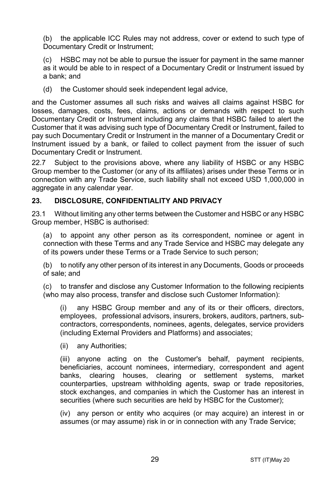(b) the applicable ICC Rules may not address, cover or extend to such type of Documentary Credit or Instrument;

(c) HSBC may not be able to pursue the issuer for payment in the same manner as it would be able to in respect of a Documentary Credit or Instrument issued by a bank; and

(d) the Customer should seek independent legal advice,

and the Customer assumes all such risks and waives all claims against HSBC for losses, damages, costs, fees, claims, actions or demands with respect to such Documentary Credit or Instrument including any claims that HSBC failed to alert the Customer that it was advising such type of Documentary Credit or Instrument, failed to pay such Documentary Credit or Instrument in the manner of a Documentary Credit or Instrument issued by a bank, or failed to collect payment from the issuer of such Documentary Credit or Instrument.

22.7 Subject to the provisions above, where any liability of HSBC or any HSBC Group member to the Customer (or any of its affiliates) arises under these Terms or in connection with any Trade Service, such liability shall not exceed USD 1,000,000 in aggregate in any calendar year.

## **23. DISCLOSURE, CONFIDENTIALITY AND PRIVACY**

23.1 Without limiting any other terms between the Customer and HSBC or any HSBC Group member, HSBC is authorised:

(a) to appoint any other person as its correspondent, nominee or agent in connection with these Terms and any Trade Service and HSBC may delegate any of its powers under these Terms or a Trade Service to such person;

(b) to notify any other person of its interest in any Documents, Goods or proceeds of sale; and

(c) to transfer and disclose any Customer Information to the following recipients (who may also process, transfer and disclose such Customer Information):

(i) any HSBC Group member and any of its or their officers, directors, employees, professional advisors, insurers, brokers, auditors, partners, subcontractors, correspondents, nominees, agents, delegates, service providers (including External Providers and Platforms) and associates;

(ii) any Authorities;

(iii) anyone acting on the Customer's behalf, payment recipients, beneficiaries, account nominees, intermediary, correspondent and agent banks, clearing houses, clearing or settlement systems, market counterparties, upstream withholding agents, swap or trade repositories, stock exchanges, and companies in which the Customer has an interest in securities (where such securities are held by HSBC for the Customer);

(iv) any person or entity who acquires (or may acquire) an interest in or assumes (or may assume) risk in or in connection with any Trade Service;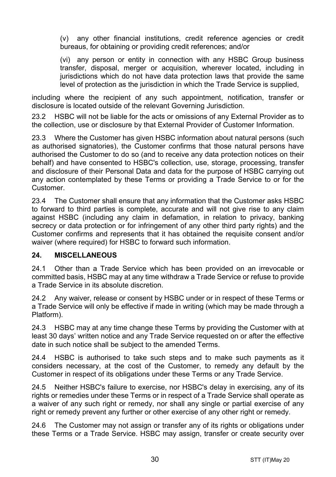(v) any other financial institutions, credit reference agencies or credit bureaus, for obtaining or providing credit references; and/or

(vi) any person or entity in connection with any HSBC Group business transfer, disposal, merger or acquisition, wherever located, including in jurisdictions which do not have data protection laws that provide the same level of protection as the jurisdiction in which the Trade Service is supplied,

including where the recipient of any such appointment, notification, transfer or disclosure is located outside of the relevant Governing Jurisdiction.

23.2 HSBC will not be liable for the acts or omissions of any External Provider as to the collection, use or disclosure by that External Provider of Customer Information.

23.3 Where the Customer has given HSBC information about natural persons (such as authorised signatories), the Customer confirms that those natural persons have authorised the Customer to do so (and to receive any data protection notices on their behalf) and have consented to HSBC's collection, use, storage, processing, transfer and disclosure of their Personal Data and data for the purpose of HSBC carrying out any action contemplated by these Terms or providing a Trade Service to or for the Customer.

23.4 The Customer shall ensure that any information that the Customer asks HSBC to forward to third parties is complete, accurate and will not give rise to any claim against HSBC (including any claim in defamation, in relation to privacy, banking secrecy or data protection or for infringement of any other third party rights) and the Customer confirms and represents that it has obtained the requisite consent and/or waiver (where required) for HSBC to forward such information.

## **24. MISCELLANEOUS**

24.1 Other than a Trade Service which has been provided on an irrevocable or committed basis, HSBC may at any time withdraw a Trade Service or refuse to provide a Trade Service in its absolute discretion.

24.2 Any waiver, release or consent by HSBC under or in respect of these Terms or a Trade Service will only be effective if made in writing (which may be made through a Platform).

24.3 HSBC may at any time change these Terms by providing the Customer with at least 30 days' written notice and any Trade Service requested on or after the effective date in such notice shall be subject to the amended Terms.

24.4 HSBC is authorised to take such steps and to make such payments as it considers necessary, at the cost of the Customer, to remedy any default by the Customer in respect of its obligations under these Terms or any Trade Service.

24.5 Neither HSBC's failure to exercise, nor HSBC's delay in exercising, any of its rights or remedies under these Terms or in respect of a Trade Service shall operate as a waiver of any such right or remedy, nor shall any single or partial exercise of any right or remedy prevent any further or other exercise of any other right or remedy.

24.6 The Customer may not assign or transfer any of its rights or obligations under these Terms or a Trade Service. HSBC may assign, transfer or create security over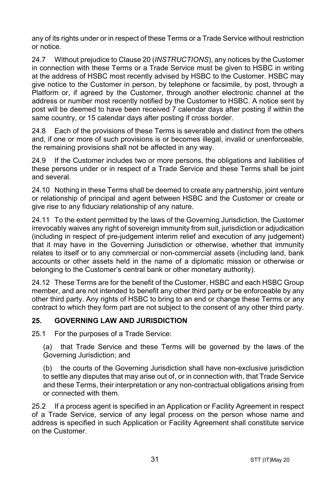any of its rights under or in respect of these Terms or a Trade Service without restriction or notice.

24.7 Without prejudice to Clause 20 (*INSTRUCTIONS*), any notices by the Customer in connection with these Terms or a Trade Service must be given to HSBC in writing at the address of HSBC most recently advised by HSBC to the Customer. HSBC may give notice to the Customer in person, by telephone or facsimile, by post, through a Platform or, if agreed by the Customer, through another electronic channel at the address or number most recently notified by the Customer to HSBC. A notice sent by post will be deemed to have been received 7 calendar days after posting if within the same country, or 15 calendar days after posting if cross border.

24.8 Each of the provisions of these Terms is severable and distinct from the others and, if one or more of such provisions is or becomes illegal, invalid or unenforceable, the remaining provisions shall not be affected in any way.

24.9 If the Customer includes two or more persons, the obligations and liabilities of these persons under or in respect of a Trade Service and these Terms shall be joint and several.

24.10 Nothing in these Terms shall be deemed to create any partnership, joint venture or relationship of principal and agent between HSBC and the Customer or create or give rise to any fiduciary relationship of any nature.

24.11 To the extent permitted by the laws of the Governing Jurisdiction, the Customer irrevocably waives any right of sovereign immunity from suit, jurisdiction or adjudication (including in respect of pre-judgement interim relief and execution of any judgement) that it may have in the Governing Jurisdiction or otherwise, whether that immunity relates to itself or to any commercial or non-commercial assets (including land, bank accounts or other assets held in the name of a diplomatic mission or otherwise or belonging to the Customer's central bank or other monetary authority).

24.12 These Terms are for the benefit of the Customer, HSBC and each HSBC Group member, and are not intended to benefit any other third party or be enforceable by any other third party. Any rights of HSBC to bring to an end or change these Terms or any contract to which they form part are not subject to the consent of any other third party.

## **25. GOVERNING LAW AND JURISDICTION**

25.1 For the purposes of a Trade Service:

(a) that Trade Service and these Terms will be governed by the laws of the Governing Jurisdiction; and

(b) the courts of the Governing Jurisdiction shall have non-exclusive jurisdiction to settle any disputes that may arise out of, or in connection with, that Trade Service and these Terms, their interpretation or any non-contractual obligations arising from or connected with them.

25.2 If a process agent is specified in an Application or Facility Agreement in respect of a Trade Service, service of any legal process on the person whose name and address is specified in such Application or Facility Agreement shall constitute service on the Customer.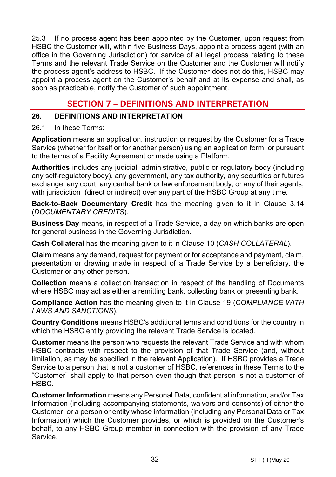25.3 If no process agent has been appointed by the Customer, upon request from HSBC the Customer will, within five Business Days, appoint a process agent (with an office in the Governing Jurisdiction) for service of all legal process relating to these Terms and the relevant Trade Service on the Customer and the Customer will notify the process agent's address to HSBC. If the Customer does not do this, HSBC may appoint a process agent on the Customer's behalf and at its expense and shall, as soon as practicable, notify the Customer of such appointment.

# **SECTION 7 – DEFINITIONS AND INTERPRETATION**

#### **26. DEFINITIONS AND INTERPRETATION**

#### 26.1 In these Terms:

**Application** means an application, instruction or request by the Customer for a Trade Service (whether for itself or for another person) using an application form, or pursuant to the terms of a Facility Agreement or made using a Platform.

**Authorities** includes any judicial, administrative, public or regulatory body (including any self-regulatory body), any government, any tax authority, any securities or futures exchange, any court, any central bank or law enforcement body, or any of their agents, with jurisdiction (direct or indirect) over any part of the HSBC Group at any time.

**Back-to-Back Documentary Credit** has the meaning given to it in Clause 3.14 (*DOCUMENTARY CREDITS*).

**Business Day** means, in respect of a Trade Service, a day on which banks are open for general business in the Governing Jurisdiction.

**Cash Collateral** has the meaning given to it in Clause 10 (*CASH COLLATERAL*).

**Claim** means any demand, request for payment or for acceptance and payment, claim, presentation or drawing made in respect of a Trade Service by a beneficiary, the Customer or any other person.

**Collection** means a collection transaction in respect of the handling of Documents where HSBC may act as either a remitting bank, collecting bank or presenting bank.

**Compliance Action** has the meaning given to it in Clause 19 (*COMPLIANCE WITH LAWS AND SANCTIONS*).

**Country Conditions** means HSBC's additional terms and conditions for the country in which the HSBC entity providing the relevant Trade Service is located.

**Customer** means the person who requests the relevant Trade Service and with whom HSBC contracts with respect to the provision of that Trade Service (and, without limitation, as may be specified in the relevant Application). If HSBC provides a Trade Service to a person that is not a customer of HSBC, references in these Terms to the "Customer" shall apply to that person even though that person is not a customer of HSBC.

**Customer Information** means any Personal Data, confidential information, and/or Tax Information (including accompanying statements, waivers and consents) of either the Customer, or a person or entity whose information (including any Personal Data or Tax Information) which the Customer provides, or which is provided on the Customer's behalf, to any HSBC Group member in connection with the provision of any Trade Service.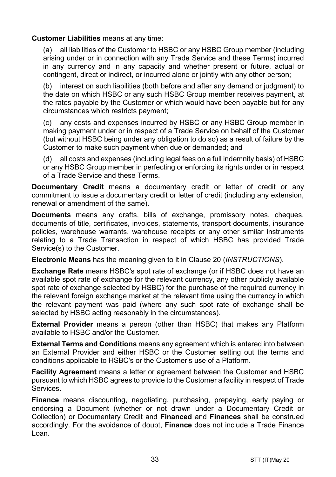#### **Customer Liabilities** means at any time:

(a) all liabilities of the Customer to HSBC or any HSBC Group member (including arising under or in connection with any Trade Service and these Terms) incurred in any currency and in any capacity and whether present or future, actual or contingent, direct or indirect, or incurred alone or jointly with any other person;

(b) interest on such liabilities (both before and after any demand or judgment) to the date on which HSBC or any such HSBC Group member receives payment, at the rates payable by the Customer or which would have been payable but for any circumstances which restricts payment;

(c) any costs and expenses incurred by HSBC or any HSBC Group member in making payment under or in respect of a Trade Service on behalf of the Customer (but without HSBC being under any obligation to do so) as a result of failure by the Customer to make such payment when due or demanded; and

(d) all costs and expenses (including legal fees on a full indemnity basis) of HSBC or any HSBC Group member in perfecting or enforcing its rights under or in respect of a Trade Service and these Terms.

**Documentary Credit** means a documentary credit or letter of credit or any commitment to issue a documentary credit or letter of credit (including any extension, renewal or amendment of the same).

**Documents** means any drafts, bills of exchange, promissory notes, cheques, documents of title, certificates, invoices, statements, transport documents, insurance policies, warehouse warrants, warehouse receipts or any other similar instruments relating to a Trade Transaction in respect of which HSBC has provided Trade Service(s) to the Customer.

**Electronic Means** has the meaning given to it in Clause 20 (*INSTRUCTIONS*).

**Exchange Rate** means HSBC's spot rate of exchange (or if HSBC does not have an available spot rate of exchange for the relevant currency, any other publicly available spot rate of exchange selected by HSBC) for the purchase of the required currency in the relevant foreign exchange market at the relevant time using the currency in which the relevant payment was paid (where any such spot rate of exchange shall be selected by HSBC acting reasonably in the circumstances).

**External Provider** means a person (other than HSBC) that makes any Platform available to HSBC and/or the Customer.

**External Terms and Conditions** means any agreement which is entered into between an External Provider and either HSBC or the Customer setting out the terms and conditions applicable to HSBC's or the Customer's use of a Platform.

**Facility Agreement** means a letter or agreement between the Customer and HSBC pursuant to which HSBC agrees to provide to the Customer a facility in respect of Trade Services.

**Finance** means discounting, negotiating, purchasing, prepaying, early paying or endorsing a Document (whether or not drawn under a Documentary Credit or Collection) or Documentary Credit and **Financed** and **Finances** shall be construed accordingly. For the avoidance of doubt, **Finance** does not include a Trade Finance Loan.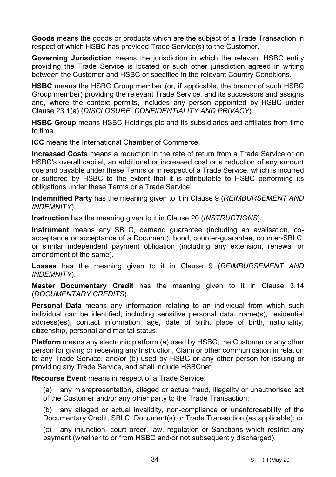**Goods** means the goods or products which are the subject of a Trade Transaction in respect of which HSBC has provided Trade Service(s) to the Customer.

**Governing Jurisdiction** means the jurisdiction in which the relevant HSBC entity providing the Trade Service is located or such other jurisdiction agreed in writing between the Customer and HSBC or specified in the relevant Country Conditions.

**HSBC** means the HSBC Group member (or, if applicable, the branch of such HSBC Group member) providing the relevant Trade Service, and its successors and assigns and, where the context permits, includes any person appointed by HSBC under Clause 23.1(a) (*DISCLOSURE, CONFIDENTIALITY AND PRIVACY*).

**HSBC Group** means HSBC Holdings plc and its subsidiaries and affiliates from time to time.

**ICC** means the International Chamber of Commerce.

**Increased Costs** means a reduction in the rate of return from a Trade Service or on HSBC's overall capital, an additional or increased cost or a reduction of any amount due and payable under these Terms or in respect of a Trade Service, which is incurred or suffered by HSBC to the extent that it is attributable to HSBC performing its obligations under these Terms or a Trade Service.

**Indemnified Party** has the meaning given to it in Clause 9 (*REIMBURSEMENT AND INDEMNITY*).

**Instruction** has the meaning given to it in Clause 20 (*INSTRUCTIONS*).

**Instrument** means any SBLC, demand guarantee (including an avalisation, coacceptance or acceptance of a Document), bond, counter-guarantee, counter-SBLC, or similar independent payment obligation (including any extension, renewal or amendment of the same).

**Losses** has the meaning given to it in Clause 9 (*REIMBURSEMENT AND INDEMNITY*).

**Master Documentary Credit** has the meaning given to it in Clause 3.14 (*DOCUMENTARY CREDITS*).

**Personal Data** means any information relating to an individual from which such individual can be identified, including sensitive personal data, name(s), residential address(es), contact information, age, date of birth, place of birth, nationality, citizenship, personal and marital status.

**Platform** means any electronic platform (a) used by HSBC, the Customer or any other person for giving or receiving any Instruction, Claim or other communication in relation to any Trade Service, and/or (b) used by HSBC or any other person for issuing or providing any Trade Service, and shall include HSBCnet.

**Recourse Event** means in respect of a Trade Service:

(a) any misrepresentation, alleged or actual fraud, illegality or unauthorised act of the Customer and/or any other party to the Trade Transaction;

(b) any alleged or actual invalidity, non-compliance or unenforceability of the Documentary Credit, SBLC, Document(s) or Trade Transaction (as applicable); or

(c) any injunction, court order, law, regulation or Sanctions which restrict any payment (whether to or from HSBC and/or not subsequently discharged).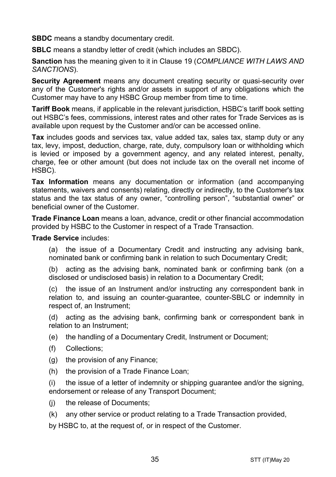**SBDC** means a standby documentary credit.

**SBLC** means a standby letter of credit (which includes an SBDC).

**Sanction** has the meaning given to it in Clause 19 (*COMPLIANCE WITH LAWS AND SANCTIONS*).

**Security Agreement** means any document creating security or quasi-security over any of the Customer's rights and/or assets in support of any obligations which the Customer may have to any HSBC Group member from time to time.

**Tariff Book** means, if applicable in the relevant jurisdiction, HSBC's tariff book setting out HSBC's fees, commissions, interest rates and other rates for Trade Services as is available upon request by the Customer and/or can be accessed online.

**Tax** includes goods and services tax, value added tax, sales tax, stamp duty or any tax, levy, impost, deduction, charge, rate, duty, compulsory loan or withholding which is levied or imposed by a government agency, and any related interest, penalty, charge, fee or other amount (but does not include tax on the overall net income of HSBC).

**Tax Information** means any documentation or information (and accompanying statements, waivers and consents) relating, directly or indirectly, to the Customer's tax status and the tax status of any owner, "controlling person", "substantial owner" or beneficial owner of the Customer.

**Trade Finance Loan** means a loan, advance, credit or other financial accommodation provided by HSBC to the Customer in respect of a Trade Transaction.

**Trade Service** includes:

(a) the issue of a Documentary Credit and instructing any advising bank, nominated bank or confirming bank in relation to such Documentary Credit;

(b) acting as the advising bank, nominated bank or confirming bank (on a disclosed or undisclosed basis) in relation to a Documentary Credit;

(c) the issue of an Instrument and/or instructing any correspondent bank in relation to, and issuing an counter-guarantee, counter-SBLC or indemnity in respect of, an Instrument;

(d) acting as the advising bank, confirming bank or correspondent bank in relation to an Instrument;

(e) the handling of a Documentary Credit, Instrument or Document;

- (f) Collections;
- (g) the provision of any Finance;
- (h) the provision of a Trade Finance Loan;

(i) the issue of a letter of indemnity or shipping guarantee and/or the signing, endorsement or release of any Transport Document;

- (j) the release of Documents;
- (k) any other service or product relating to a Trade Transaction provided,

by HSBC to, at the request of, or in respect of the Customer.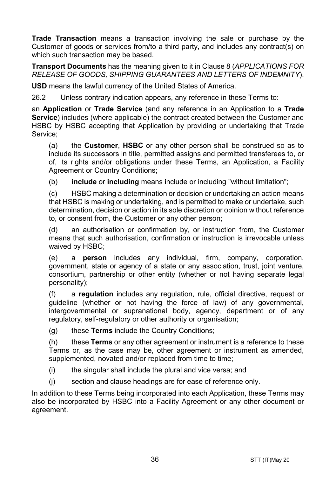**Trade Transaction** means a transaction involving the sale or purchase by the Customer of goods or services from/to a third party, and includes any contract(s) on which such transaction may be based.

**Transport Documents** has the meaning given to it in Clause 8 (*APPLICATIONS FOR RELEASE OF GOODS, SHIPPING GUARANTEES AND LETTERS OF INDEMNITY*).

**USD** means the lawful currency of the United States of America.

26.2 Unless contrary indication appears, any reference in these Terms to:

an **Application** or **Trade Service** (and any reference in an Application to a **Trade Service**) includes (where applicable) the contract created between the Customer and HSBC by HSBC accepting that Application by providing or undertaking that Trade Service;

(a) the **Customer**, **HSBC** or any other person shall be construed so as to include its successors in title, permitted assigns and permitted transferees to, or of, its rights and/or obligations under these Terms, an Application, a Facility Agreement or Country Conditions;

(b) **include** or **including** means include or including "without limitation";

(c) HSBC making a determination or decision or undertaking an action means that HSBC is making or undertaking, and is permitted to make or undertake, such determination, decision or action in its sole discretion or opinion without reference to, or consent from, the Customer or any other person;

(d) an authorisation or confirmation by, or instruction from, the Customer means that such authorisation, confirmation or instruction is irrevocable unless waived by HSBC;

(e) a **person** includes any individual, firm, company, corporation, government, state or agency of a state or any association, trust, joint venture, consortium, partnership or other entity (whether or not having separate legal personality);

(f) a **regulation** includes any regulation, rule, official directive, request or guideline (whether or not having the force of law) of any governmental, intergovernmental or supranational body, agency, department or of any regulatory, self-regulatory or other authority or organisation;

(g) these **Terms** include the Country Conditions;

(h) these **Terms** or any other agreement or instrument is a reference to these Terms or, as the case may be, other agreement or instrument as amended, supplemented, novated and/or replaced from time to time;

- (i) the singular shall include the plural and vice versa; and
- (j) section and clause headings are for ease of reference only.

In addition to these Terms being incorporated into each Application, these Terms may also be incorporated by HSBC into a Facility Agreement or any other document or agreement.